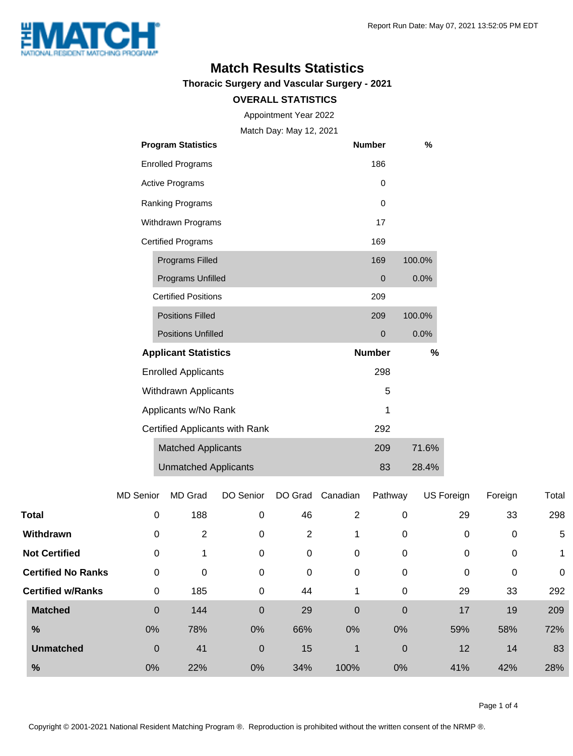

### **Match Results Statistics**

**Thoracic Surgery and Vascular Surgery - 2021**

#### **OVERALL STATISTICS**

Appointment Year 2022

Match Day: May 12, 2021

|                                | <b>Program Statistics</b>   | <b>Number</b> | %      |
|--------------------------------|-----------------------------|---------------|--------|
|                                | <b>Enrolled Programs</b>    | 186           |        |
|                                | <b>Active Programs</b>      | 0             |        |
|                                | Ranking Programs            | $\Omega$      |        |
| Withdrawn Programs             |                             | 17            |        |
|                                | <b>Certified Programs</b>   | 169           |        |
|                                | <b>Programs Filled</b>      | 169           | 100.0% |
|                                | Programs Unfilled           | 0             | 0.0%   |
|                                | <b>Certified Positions</b>  | 209           |        |
|                                | <b>Positions Filled</b>     | 209           | 100.0% |
|                                | <b>Positions Unfilled</b>   | 0             | 0.0%   |
|                                | <b>Applicant Statistics</b> | <b>Number</b> | %      |
|                                | <b>Enrolled Applicants</b>  | 298           |        |
|                                | <b>Withdrawn Applicants</b> | 5             |        |
|                                | Applicants w/No Rank        | 1             |        |
| Certified Applicants with Rank |                             | 292           |        |
|                                | <b>Matched Applicants</b>   | 209           | 71.6%  |
|                                | <b>Unmatched Applicants</b> | 83            | 28.4%  |

|                           | <b>MD Senior</b> | <b>MD Grad</b> | DO Senior   | DO Grad | Canadian | Pathway          | US Foreign | Foreign     | Total       |
|---------------------------|------------------|----------------|-------------|---------|----------|------------------|------------|-------------|-------------|
| <b>Total</b>              | $\mathbf 0$      | 188            | 0           | 46      | 2        | 0                | 29         | 33          | 298         |
| Withdrawn                 | 0                | 2              | 0           | 2       | 1        | 0                | 0          | 0           | 5           |
| <b>Not Certified</b>      | $\mathbf 0$      |                | 0           | 0       | 0        | 0                | 0          | $\mathbf 0$ |             |
| <b>Certified No Ranks</b> | $\mathbf 0$      | 0              | 0           | 0       | 0        | 0                | 0          | 0           | $\mathbf 0$ |
| <b>Certified w/Ranks</b>  | 0                | 185            | 0           | 44      | 1        | 0                | 29         | 33          | 292         |
| <b>Matched</b>            | $\mathbf 0$      | 144            | $\mathbf 0$ | 29      | 0        | $\boldsymbol{0}$ | 17         | 19          | 209         |
| $\frac{9}{6}$             | 0%               | 78%            | 0%          | 66%     | 0%       | 0%               | 59%        | 58%         | 72%         |
| <b>Unmatched</b>          | $\mathbf 0$      | 41             | $\mathbf 0$ | 15      | 1        | $\pmb{0}$        | 12         | 14          | 83          |
| %                         | 0%               | 22%            | 0%          | 34%     | 100%     | 0%               | 41%        | 42%         | 28%         |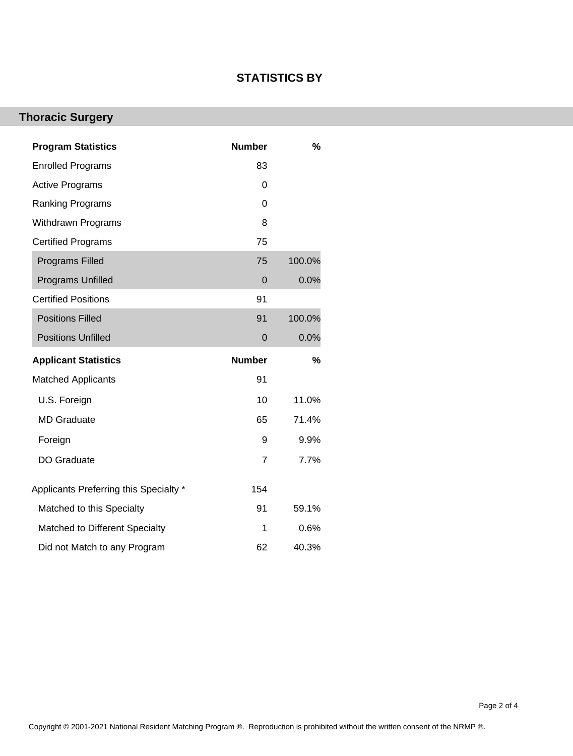### **STATISTICS BY**

# **Thoracic Surgery**

| <b>Program Statistics</b>              | <b>Number</b>  | %      |
|----------------------------------------|----------------|--------|
| <b>Enrolled Programs</b>               | 83             |        |
| <b>Active Programs</b>                 | 0              |        |
| <b>Ranking Programs</b>                | 0              |        |
| Withdrawn Programs                     | 8              |        |
| <b>Certified Programs</b>              | 75             |        |
| <b>Programs Filled</b>                 | 75             | 100.0% |
| Programs Unfilled                      | 0              | 0.0%   |
| <b>Certified Positions</b>             | 91             |        |
| <b>Positions Filled</b>                | 91             | 100.0% |
| <b>Positions Unfilled</b>              | $\mathbf 0$    | 0.0%   |
|                                        |                |        |
| <b>Applicant Statistics</b>            | <b>Number</b>  | %      |
| <b>Matched Applicants</b>              | 91             |        |
| U.S. Foreign                           | 10             | 11.0%  |
| <b>MD Graduate</b>                     | 65             | 71.4%  |
| Foreign                                | 9              | 9.9%   |
| DO Graduate                            | $\overline{7}$ | 7.7%   |
| Applicants Preferring this Specialty * | 154            |        |
| Matched to this Specialty              | 91             | 59.1%  |
| Matched to Different Specialty         | 1              | 0.6%   |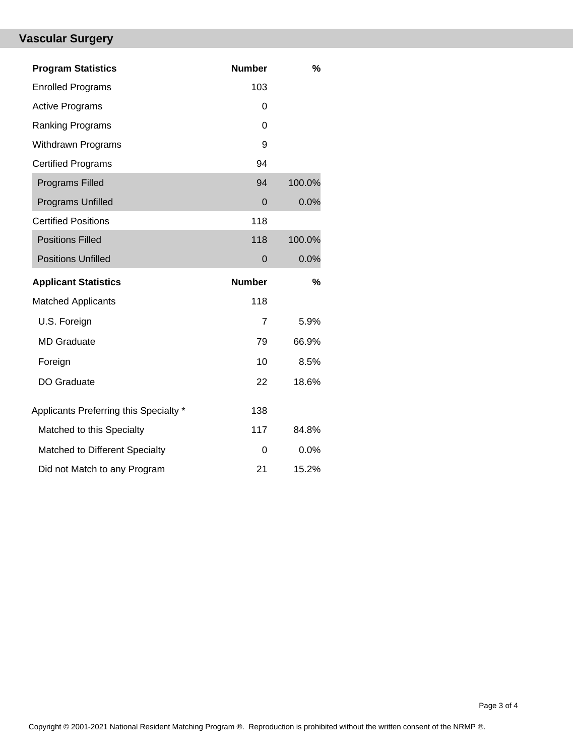# **Vascular Surgery**

| <b>Program Statistics</b>              | <b>Number</b> | %      |
|----------------------------------------|---------------|--------|
| <b>Enrolled Programs</b>               | 103           |        |
| <b>Active Programs</b>                 | 0             |        |
| <b>Ranking Programs</b>                | $\Omega$      |        |
| <b>Withdrawn Programs</b>              | 9             |        |
| <b>Certified Programs</b>              | 94            |        |
| <b>Programs Filled</b>                 | 94            | 100.0% |
| Programs Unfilled                      | $\Omega$      | 0.0%   |
| <b>Certified Positions</b>             | 118           |        |
| <b>Positions Filled</b>                | 118           | 100.0% |
| <b>Positions Unfilled</b>              | $\mathbf 0$   | 0.0%   |
|                                        |               |        |
| <b>Applicant Statistics</b>            | <b>Number</b> | %      |
| <b>Matched Applicants</b>              | 118           |        |
| U.S. Foreign                           | 7             | 5.9%   |
| <b>MD Graduate</b>                     | 79            | 66.9%  |
| Foreign                                | 10            | 8.5%   |
| DO Graduate                            | 22            | 18.6%  |
| Applicants Preferring this Specialty * | 138           |        |
| Matched to this Specialty              | 117           | 84.8%  |
| Matched to Different Specialty         | 0             | 0.0%   |